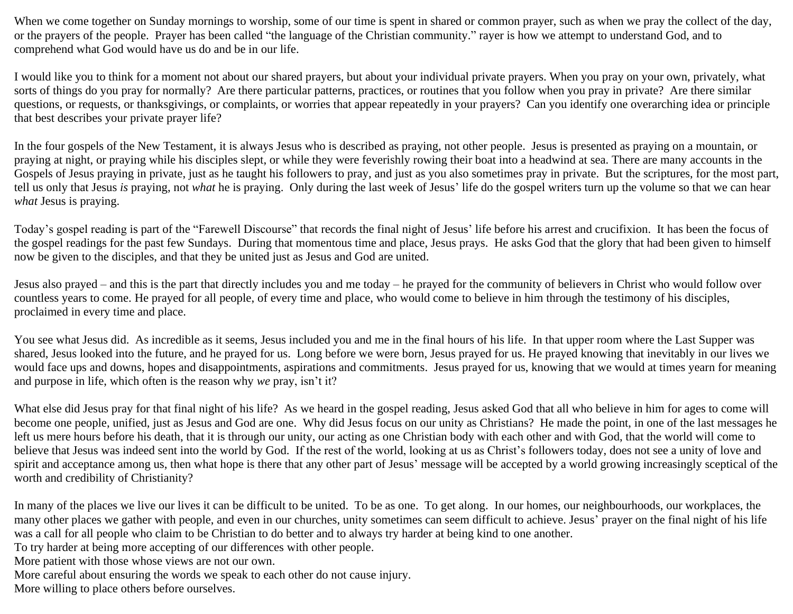When we come together on Sunday mornings to worship, some of our time is spent in shared or common prayer, such as when we pray the collect of the day, or the prayers of the people. Prayer has been called "the language of the Christian community." rayer is how we attempt to understand God, and to comprehend what God would have us do and be in our life.

I would like you to think for a moment not about our shared prayers, but about your individual private prayers. When you pray on your own, privately, what sorts of things do you pray for normally? Are there particular patterns, practices, or routines that you follow when you pray in private? Are there similar questions, or requests, or thanksgivings, or complaints, or worries that appear repeatedly in your prayers? Can you identify one overarching idea or principle that best describes your private prayer life?

In the four gospels of the New Testament, it is always Jesus who is described as praying, not other people. Jesus is presented as praying on a mountain, or praying at night, or praying while his disciples slept, or while they were feverishly rowing their boat into a headwind at sea. There are many accounts in the Gospels of Jesus praying in private, just as he taught his followers to pray, and just as you also sometimes pray in private. But the scriptures, for the most part, tell us only that Jesus *is* praying, not *what* he is praying. Only during the last week of Jesus' life do the gospel writers turn up the volume so that we can hear *what* Jesus is praying.

Today's gospel reading is part of the "Farewell Discourse" that records the final night of Jesus' life before his arrest and crucifixion. It has been the focus of the gospel readings for the past few Sundays. During that momentous time and place, Jesus prays. He asks God that the glory that had been given to himself now be given to the disciples, and that they be united just as Jesus and God are united.

Jesus also prayed – and this is the part that directly includes you and me today – he prayed for the community of believers in Christ who would follow over countless years to come. He prayed for all people, of every time and place, who would come to believe in him through the testimony of his disciples, proclaimed in every time and place.

You see what Jesus did. As incredible as it seems, Jesus included you and me in the final hours of his life. In that upper room where the Last Supper was shared, Jesus looked into the future, and he prayed for us. Long before we were born, Jesus prayed for us. He prayed knowing that inevitably in our lives we would face ups and downs, hopes and disappointments, aspirations and commitments. Jesus prayed for us, knowing that we would at times yearn for meaning and purpose in life, which often is the reason why *we* pray, isn't it?

What else did Jesus pray for that final night of his life? As we heard in the gospel reading, Jesus asked God that all who believe in him for ages to come will become one people, unified, just as Jesus and God are one. Why did Jesus focus on our unity as Christians? He made the point, in one of the last messages he left us mere hours before his death, that it is through our unity, our acting as one Christian body with each other and with God, that the world will come to believe that Jesus was indeed sent into the world by God. If the rest of the world, looking at us as Christ's followers today, does not see a unity of love and spirit and acceptance among us, then what hope is there that any other part of Jesus' message will be accepted by a world growing increasingly sceptical of the worth and credibility of Christianity?

In many of the places we live our lives it can be difficult to be united. To be as one. To get along. In our homes, our neighbourhoods, our workplaces, the many other places we gather with people, and even in our churches, unity sometimes can seem difficult to achieve. Jesus' prayer on the final night of his life was a call for all people who claim to be Christian to do better and to always try harder at being kind to one another.

To try harder at being more accepting of our differences with other people.

More patient with those whose views are not our own.

More careful about ensuring the words we speak to each other do not cause injury.

More willing to place others before ourselves.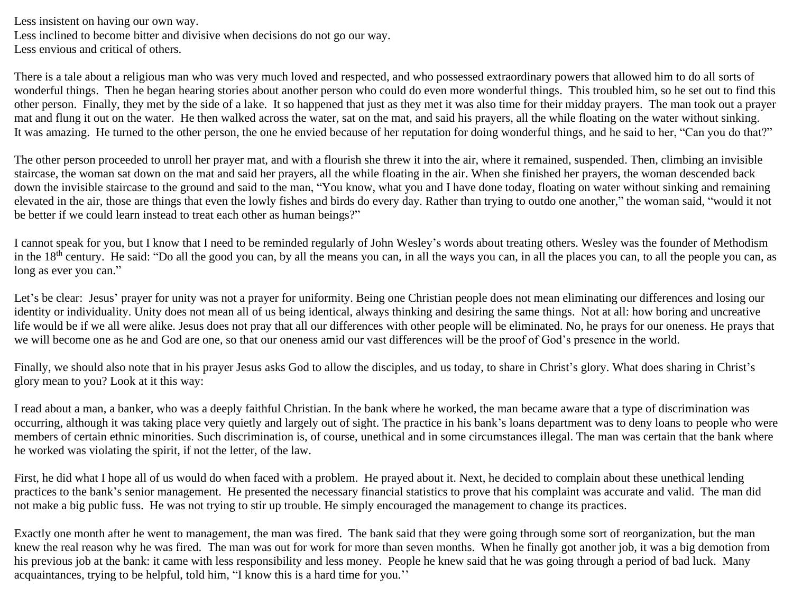Less insistent on having our own way. Less inclined to become bitter and divisive when decisions do not go our way. Less envious and critical of others.

There is a tale about a religious man who was very much loved and respected, and who possessed extraordinary powers that allowed him to do all sorts of wonderful things. Then he began hearing stories about another person who could do even more wonderful things. This troubled him, so he set out to find this other person. Finally, they met by the side of a lake. It so happened that just as they met it was also time for their midday prayers. The man took out a prayer mat and flung it out on the water. He then walked across the water, sat on the mat, and said his prayers, all the while floating on the water without sinking. It was amazing. He turned to the other person, the one he envied because of her reputation for doing wonderful things, and he said to her, "Can you do that?"

The other person proceeded to unroll her prayer mat, and with a flourish she threw it into the air, where it remained, suspended. Then, climbing an invisible staircase, the woman sat down on the mat and said her prayers, all the while floating in the air. When she finished her prayers, the woman descended back down the invisible staircase to the ground and said to the man, "You know, what you and I have done today, floating on water without sinking and remaining elevated in the air, those are things that even the lowly fishes and birds do every day. Rather than trying to outdo one another," the woman said, "would it not be better if we could learn instead to treat each other as human beings?"

I cannot speak for you, but I know that I need to be reminded regularly of John Wesley's words about treating others. Wesley was the founder of Methodism in the 18<sup>th</sup> century. He said: "Do all the good you can, by all the means you can, in all the ways you can, in all the places you can, to all the people you can, as long as ever you can."

Let's be clear: Jesus' prayer for unity was not a prayer for uniformity. Being one Christian people does not mean eliminating our differences and losing our identity or individuality. Unity does not mean all of us being identical, always thinking and desiring the same things. Not at all: how boring and uncreative life would be if we all were alike. Jesus does not pray that all our differences with other people will be eliminated. No, he prays for our oneness. He prays that we will become one as he and God are one, so that our oneness amid our vast differences will be the proof of God's presence in the world.

Finally, we should also note that in his prayer Jesus asks God to allow the disciples, and us today, to share in Christ's glory. What does sharing in Christ's glory mean to you? Look at it this way:

I read about a man, a banker, who was a deeply faithful Christian. In the bank where he worked, the man became aware that a type of discrimination was occurring, although it was taking place very quietly and largely out of sight. The practice in his bank's loans department was to deny loans to people who were members of certain ethnic minorities. Such discrimination is, of course, unethical and in some circumstances illegal. The man was certain that the bank where he worked was violating the spirit, if not the letter, of the law.

First, he did what I hope all of us would do when faced with a problem. He prayed about it. Next, he decided to complain about these unethical lending practices to the bank's senior management. He presented the necessary financial statistics to prove that his complaint was accurate and valid. The man did not make a big public fuss. He was not trying to stir up trouble. He simply encouraged the management to change its practices.

Exactly one month after he went to management, the man was fired. The bank said that they were going through some sort of reorganization, but the man knew the real reason why he was fired. The man was out for work for more than seven months. When he finally got another job, it was a big demotion from his previous job at the bank: it came with less responsibility and less money. People he knew said that he was going through a period of bad luck. Many acquaintances, trying to be helpful, told him, "I know this is a hard time for you.''